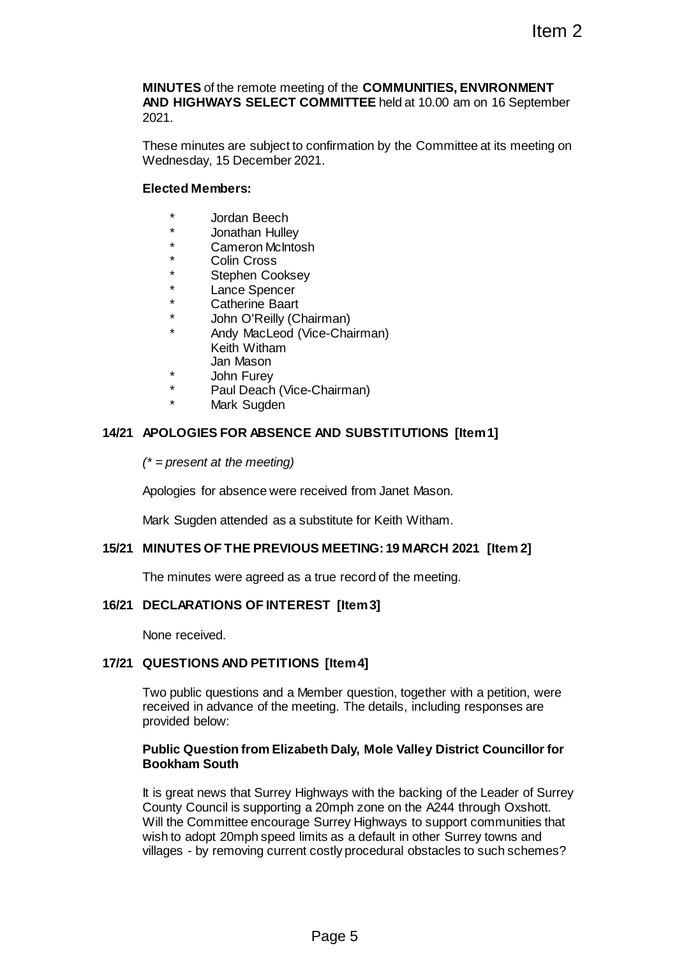**MINUTES** of the remote meeting of the **COMMUNITIES, ENVIRONMENT AND HIGHWAYS SELECT COMMITTEE** held at 10.00 am on 16 September 2021.

These minutes are subject to confirmation by the Committee at its meeting on Wednesday, 15 December 2021.

## **Elected Members:**

- Jordan Beech
- \* Jonathan Hulley
- Cameron McIntosh
- Colin Cross
- Stephen Cooksey
- Lance Spencer
- Catherine Baart
- John O'Reilly (Chairman)
- Andy MacLeod (Vice-Chairman) Keith Witham Jan Mason
- John Furev
- Paul Deach (Vice-Chairman)
	- Mark Sugden

## **14/21 APOLOGIES FOR ABSENCE AND SUBSTITUTIONS [Item 1]**

*(\* = present at the meeting)*

Apologies for absence were received from Janet Mason.

Mark Sugden attended as a substitute for Keith Witham.

## **15/21 MINUTES OF THE PREVIOUS MEETING: 19 MARCH 2021 [Item 2]**

The minutes were agreed as a true record of the meeting.

## **16/21 DECLARATIONS OF INTEREST [Item 3]**

None received.

## **17/21 QUESTIONS AND PETITIONS [Item 4]**

Two public questions and a Member question, together with a petition, were received in advance of the meeting. The details, including responses are provided below:

#### **Public Question from Elizabeth Daly, Mole Valley District Councillor for Bookham South**

It is great news that Surrey Highways with the backing of the Leader of Surrey County Council is supporting a 20mph zone on the A244 through Oxshott. Will the Committee encourage Surrey Highways to support communities that wish to adopt 20mph speed limits as a default in other Surrey towns and villages - by removing current costly procedural obstacles to such schemes? Item 2<br>
Item 2<br>
DIMMITTEE held at 10.00 am on 16 September<br>
confirmation by the Committee at its meeting on<br>
21.<br>
The Constant of September<br>
21.<br>
The Constant of Markon.<br>
Chairman)<br>
AND SUBSTITUTIONS [Item 1]<br>
ceived from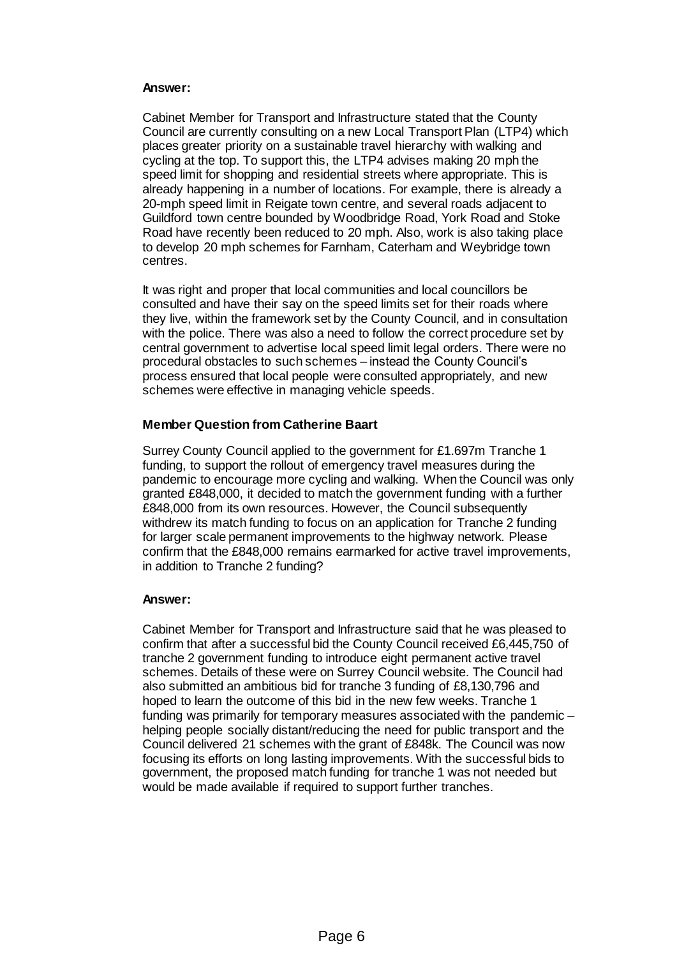#### **Answer:**

Cabinet Member for Transport and Infrastructure stated that the County Council are currently consulting on a new Local Transport Plan (LTP4) which places greater priority on a sustainable travel hierarchy with walking and cycling at the top. To support this, the LTP4 advises making 20 mph the speed limit for shopping and residential streets where appropriate. This is already happening in a number of locations. For example, there is already a 20-mph speed limit in Reigate town centre, and several roads adjacent to Guildford town centre bounded by Woodbridge Road, York Road and Stoke Road have recently been reduced to 20 mph. Also, work is also taking place to develop 20 mph schemes for Farnham, Caterham and Weybridge town centres.

It was right and proper that local communities and local councillors be consulted and have their say on the speed limits set for their roads where they live, within the framework set by the County Council, and in consultation with the police. There was also a need to follow the correct procedure set by central government to advertise local speed limit legal orders. There were no procedural obstacles to such schemes – instead the County Council's process ensured that local people were consulted appropriately, and new schemes were effective in managing vehicle speeds.

#### **Member Question from Catherine Baart**

Surrey County Council applied to the government for £1.697m Tranche 1 funding, to support the rollout of emergency travel measures during the pandemic to encourage more cycling and walking. When the Council was only granted £848,000, it decided to match the government funding with a further £848,000 from its own resources. However, the Council subsequently withdrew its match funding to focus on an application for Tranche 2 funding for larger scale permanent improvements to the highway network. Please confirm that the £848,000 remains earmarked for active travel improvements, in addition to Tranche 2 funding?

#### **Answer:**

Cabinet Member for Transport and Infrastructure said that he was pleased to confirm that after a successful bid the County Council received £6,445,750 of tranche 2 government funding to introduce eight permanent active travel schemes. Details of these were on Surrey Council website. The Council had also submitted an ambitious bid for tranche 3 funding of £8,130,796 and hoped to learn the outcome of this bid in the new few weeks. Tranche 1 funding was primarily for temporary measures associated with the pandemic – helping people socially distant/reducing the need for public transport and the Council delivered 21 schemes with the grant of £848k. The Council was now focusing its efforts on long lasting improvements. With the successful bids to government, the proposed match funding for tranche 1 was not needed but would be made available if required to support further tranches.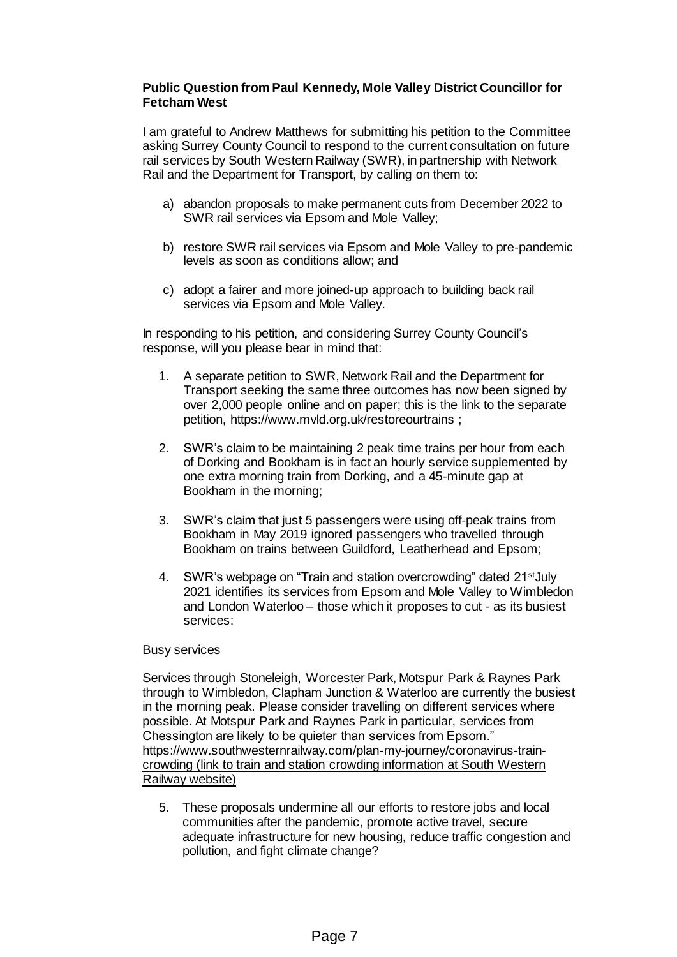## **Public Question from Paul Kennedy, Mole Valley District Councillor for Fetcham West**

I am grateful to Andrew Matthews for submitting his petition to the Committee asking Surrey County Council to respond to the current consultation on future rail services by South Western Railway (SWR), in partnership with Network Rail and the Department for Transport, by calling on them to:

- a) abandon proposals to make permanent cuts from December 2022 to SWR rail services via Epsom and Mole Valley;
- b) restore SWR rail services via Epsom and Mole Valley to pre-pandemic levels as soon as conditions allow; and
- c) adopt a fairer and more joined-up approach to building back rail services via Epsom and Mole Valley.

In responding to his petition, and considering Surrey County Council's response, will you please bear in mind that:

- 1. A separate petition to SWR, Network Rail and the Department for Transport seeking the same three outcomes has now been signed by over 2,000 people online and on paper; this is the link to the separate petition,<https://www.mvld.org.uk/restoreourtrains> ;
- 2. SWR's claim to be maintaining 2 peak time trains per hour from each of Dorking and Bookham is in fact an hourly service supplemented by one extra morning train from Dorking, and a 45-minute gap at Bookham in the morning;
- 3. SWR's claim that just 5 passengers were using off-peak trains from Bookham in May 2019 ignored passengers who travelled through Bookham on trains between Guildford, Leatherhead and Epsom;
- 4. SWR's webpage on "Train and station overcrowding" dated 21<sup>st</sup> July 2021 identifies its services from Epsom and Mole Valley to Wimbledon and London Waterloo – those which it proposes to cut - as its busiest services:

## Busy services

Services through Stoneleigh, Worcester Park, Motspur Park & Raynes Park through to Wimbledon, Clapham Junction & Waterloo are currently the busiest in the morning peak. Please consider travelling on different services where possible. At Motspur Park and Raynes Park in particular, services from Chessington are likely to be quieter than services from Epsom." [https://www.southwesternrailway.com/plan-my-journey/coronavirus-train](https://www.southwesternrailway.com/plan-my-journey/coronavirus-train-crowding)[crowding](https://www.southwesternrailway.com/plan-my-journey/coronavirus-train-crowding) (link to train and station crowding information at South Western Railway website)

5. These proposals undermine all our efforts to restore jobs and local communities after the pandemic, promote active travel, secure adequate infrastructure for new housing, reduce traffic congestion and pollution, and fight climate change?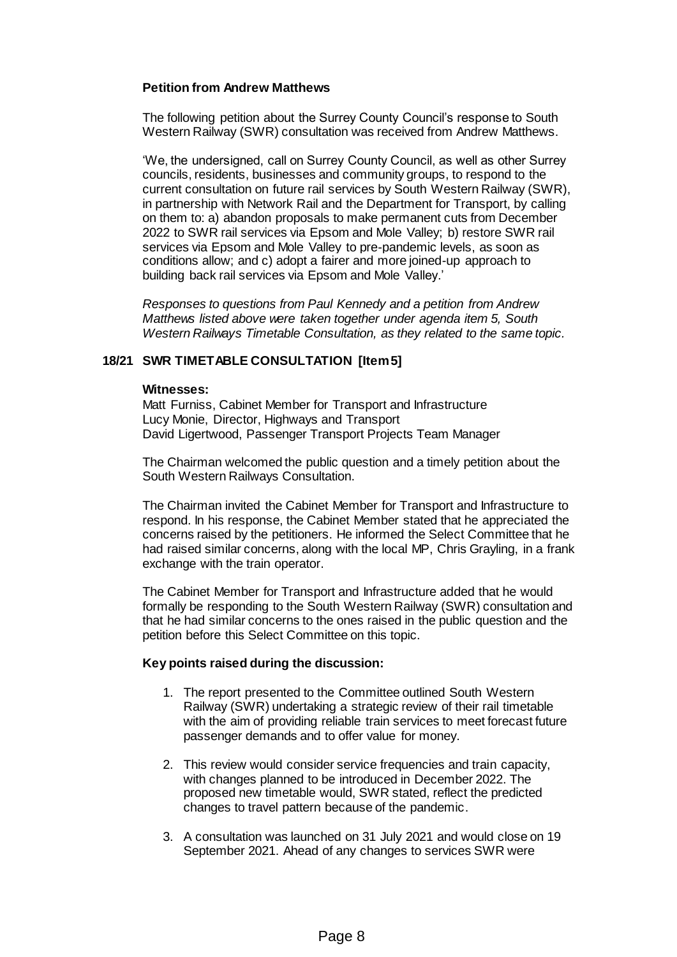## **Petition from Andrew Matthews**

The following petition about the Surrey County Council's response to South Western Railway (SWR) consultation was received from Andrew Matthews.

'We, the undersigned, call on Surrey County Council, as well as other Surrey councils, residents, businesses and community groups, to respond to the current consultation on future rail services by South Western Railway (SWR), in partnership with Network Rail and the Department for Transport, by calling on them to: a) abandon proposals to make permanent cuts from December 2022 to SWR rail services via Epsom and Mole Valley; b) restore SWR rail services via Epsom and Mole Valley to pre-pandemic levels, as soon as conditions allow; and c) adopt a fairer and more joined-up approach to building back rail services via Epsom and Mole Valley.'

*Responses to questions from Paul Kennedy and a petition from Andrew Matthews listed above were taken together under agenda item 5, South Western Railways Timetable Consultation, as they related to the same topic.*

## **18/21 SWR TIMETABLE CONSULTATION [Item 5]**

#### **Witnesses:**

Matt Furniss, Cabinet Member for Transport and Infrastructure Lucy Monie, Director, Highways and Transport David Ligertwood, Passenger Transport Projects Team Manager

The Chairman welcomed the public question and a timely petition about the South Western Railways Consultation.

The Chairman invited the Cabinet Member for Transport and Infrastructure to respond. In his response, the Cabinet Member stated that he appreciated the concerns raised by the petitioners. He informed the Select Committee that he had raised similar concerns, along with the local MP, Chris Grayling, in a frank exchange with the train operator.

The Cabinet Member for Transport and Infrastructure added that he would formally be responding to the South Western Railway (SWR) consultation and that he had similar concerns to the ones raised in the public question and the petition before this Select Committee on this topic.

#### **Key points raised during the discussion:**

- 1. The report presented to the Committee outlined South Western Railway (SWR) undertaking a strategic review of their rail timetable with the aim of providing reliable train services to meet forecast future passenger demands and to offer value for money.
- 2. This review would consider service frequencies and train capacity, with changes planned to be introduced in December 2022. The proposed new timetable would, SWR stated, reflect the predicted changes to travel pattern because of the pandemic.
- 3. A consultation was launched on 31 July 2021 and would close on 19 September 2021. Ahead of any changes to services SWR were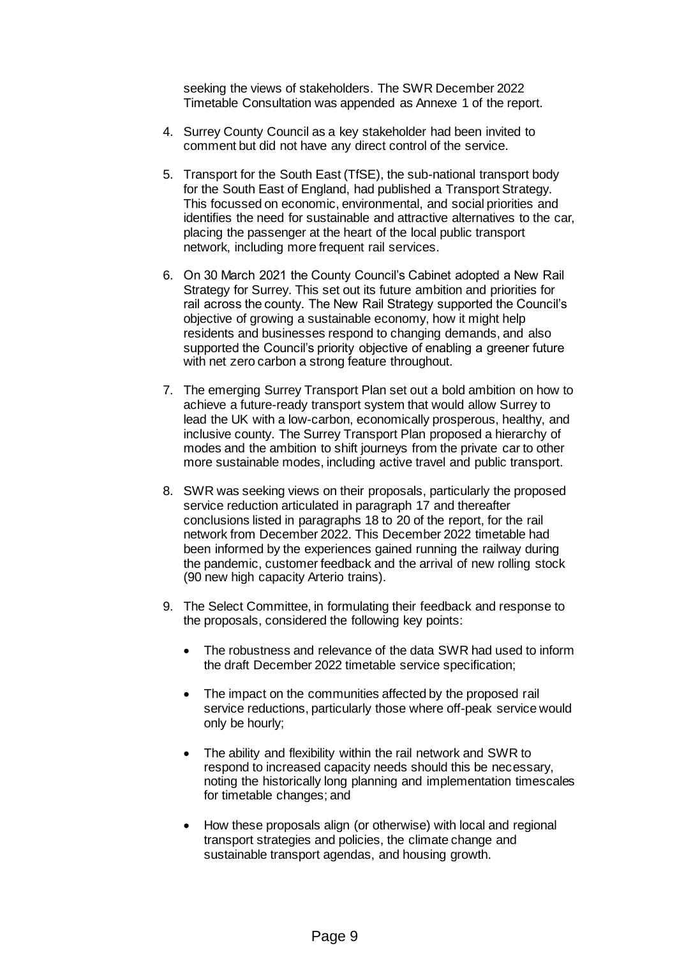seeking the views of stakeholders. The SWR December 2022 Timetable Consultation was appended as Annexe 1 of the report.

- 4. Surrey County Council as a key stakeholder had been invited to comment but did not have any direct control of the service.
- 5. Transport for the South East (TfSE), the sub-national transport body for the South East of England, had published a Transport Strategy. This focussed on economic, environmental, and social priorities and identifies the need for sustainable and attractive alternatives to the car, placing the passenger at the heart of the local public transport network, including more frequent rail services.
- 6. On 30 March 2021 the County Council's Cabinet adopted a New Rail Strategy for Surrey. This set out its future ambition and priorities for rail across the county. The New Rail Strategy supported the Council's objective of growing a sustainable economy, how it might help residents and businesses respond to changing demands, and also supported the Council's priority objective of enabling a greener future with net zero carbon a strong feature throughout.
- 7. The emerging Surrey Transport Plan set out a bold ambition on how to achieve a future-ready transport system that would allow Surrey to lead the UK with a low-carbon, economically prosperous, healthy, and inclusive county. The Surrey Transport Plan proposed a hierarchy of modes and the ambition to shift journeys from the private car to other more sustainable modes, including active travel and public transport.
- 8. SWR was seeking views on their proposals, particularly the proposed service reduction articulated in paragraph 17 and thereafter conclusions listed in paragraphs 18 to 20 of the report, for the rail network from December 2022. This December 2022 timetable had been informed by the experiences gained running the railway during the pandemic, customer feedback and the arrival of new rolling stock (90 new high capacity Arterio trains).
- 9. The Select Committee, in formulating their feedback and response to the proposals, considered the following key points:
	- The robustness and relevance of the data SWR had used to inform the draft December 2022 timetable service specification;
	- The impact on the communities affected by the proposed rail service reductions, particularly those where off-peak service would only be hourly;
	- The ability and flexibility within the rail network and SWR to respond to increased capacity needs should this be necessary, noting the historically long planning and implementation timescales for timetable changes; and
	- How these proposals align (or otherwise) with local and regional transport strategies and policies, the climate change and sustainable transport agendas, and housing growth.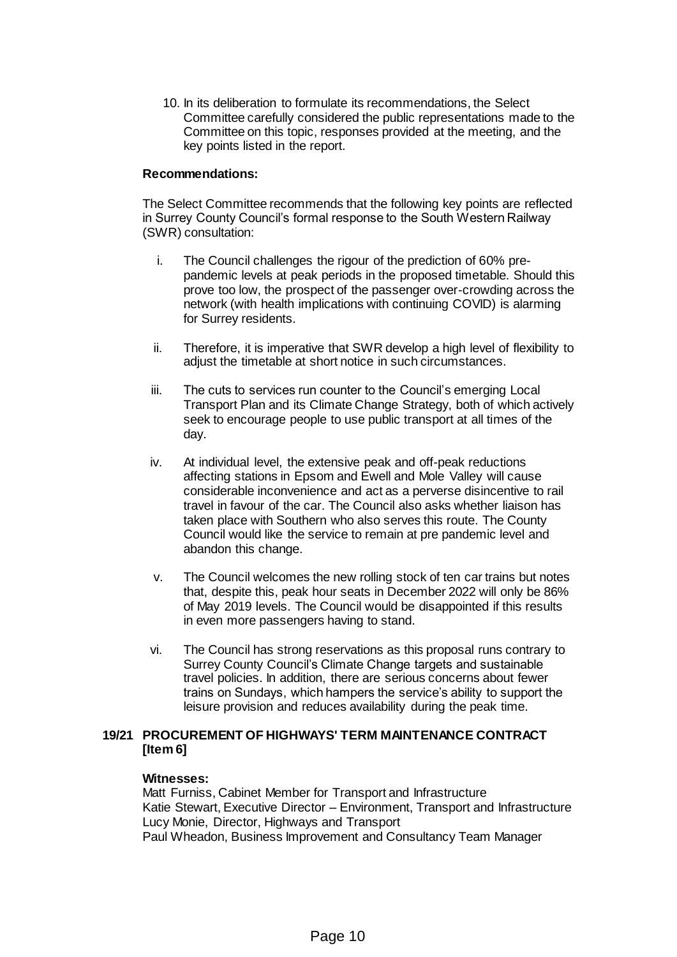10. In its deliberation to formulate its recommendations, the Select Committee carefully considered the public representations made to the Committee on this topic, responses provided at the meeting, and the key points listed in the report.

#### **Recommendations:**

The Select Committee recommends that the following key points are reflected in Surrey County Council's formal response to the South Western Railway (SWR) consultation:

- i. The Council challenges the rigour of the prediction of 60% prepandemic levels at peak periods in the proposed timetable. Should this prove too low, the prospect of the passenger over-crowding across the network (with health implications with continuing COVID) is alarming for Surrey residents.
- ii. Therefore, it is imperative that SWR develop a high level of flexibility to adjust the timetable at short notice in such circumstances.
- iii. The cuts to services run counter to the Council's emerging Local Transport Plan and its Climate Change Strategy, both of which actively seek to encourage people to use public transport at all times of the day.
- iv. At individual level, the extensive peak and off-peak reductions affecting stations in Epsom and Ewell and Mole Valley will cause considerable inconvenience and act as a perverse disincentive to rail travel in favour of the car. The Council also asks whether liaison has taken place with Southern who also serves this route. The County Council would like the service to remain at pre pandemic level and abandon this change.
- v. The Council welcomes the new rolling stock of ten car trains but notes that, despite this, peak hour seats in December 2022 will only be 86% of May 2019 levels. The Council would be disappointed if this results in even more passengers having to stand.
- vi. The Council has strong reservations as this proposal runs contrary to Surrey County Council's Climate Change targets and sustainable travel policies. In addition, there are serious concerns about fewer trains on Sundays, which hampers the service's ability to support the leisure provision and reduces availability during the peak time.

## **19/21 PROCUREMENT OF HIGHWAYS' TERM MAINTENANCE CONTRACT [Item 6]**

#### **Witnesses:**

Matt Furniss, Cabinet Member for Transport and Infrastructure Katie Stewart, Executive Director – Environment, Transport and Infrastructure Lucy Monie, Director, Highways and Transport Paul Wheadon, Business Improvement and Consultancy Team Manager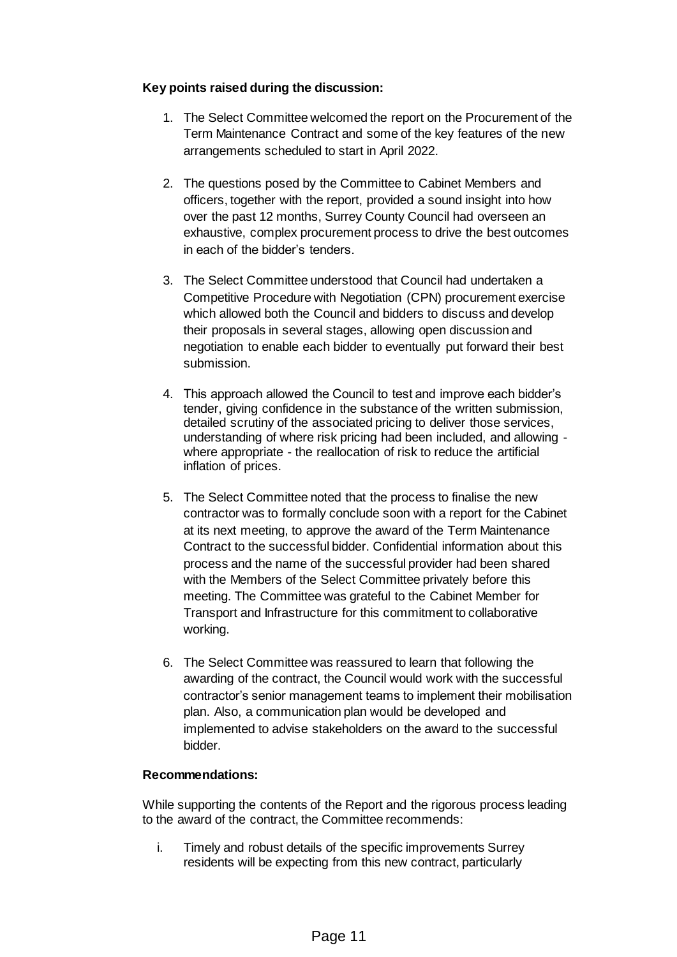## **Key points raised during the discussion:**

- 1. The Select Committee welcomed the report on the Procurement of the Term Maintenance Contract and some of the key features of the new arrangements scheduled to start in April 2022.
- 2. The questions posed by the Committee to Cabinet Members and officers, together with the report, provided a sound insight into how over the past 12 months, Surrey County Council had overseen an exhaustive, complex procurement process to drive the best outcomes in each of the bidder's tenders.
- 3. The Select Committee understood that Council had undertaken a Competitive Procedure with Negotiation (CPN) procurement exercise which allowed both the Council and bidders to discuss and develop their proposals in several stages, allowing open discussion and negotiation to enable each bidder to eventually put forward their best submission.
- 4. This approach allowed the Council to test and improve each bidder's tender, giving confidence in the substance of the written submission, detailed scrutiny of the associated pricing to deliver those services, understanding of where risk pricing had been included, and allowing where appropriate - the reallocation of risk to reduce the artificial inflation of prices.
- 5. The Select Committee noted that the process to finalise the new contractor was to formally conclude soon with a report for the Cabinet at its next meeting, to approve the award of the Term Maintenance Contract to the successful bidder. Confidential information about this process and the name of the successful provider had been shared with the Members of the Select Committee privately before this meeting. The Committee was grateful to the Cabinet Member for Transport and Infrastructure for this commitment to collaborative working.
- 6. The Select Committee was reassured to learn that following the awarding of the contract, the Council would work with the successful contractor's senior management teams to implement their mobilisation plan. Also, a communication plan would be developed and implemented to advise stakeholders on the award to the successful bidder.

## **Recommendations:**

While supporting the contents of the Report and the rigorous process leading to the award of the contract, the Committee recommends:

i. Timely and robust details of the specific improvements Surrey residents will be expecting from this new contract, particularly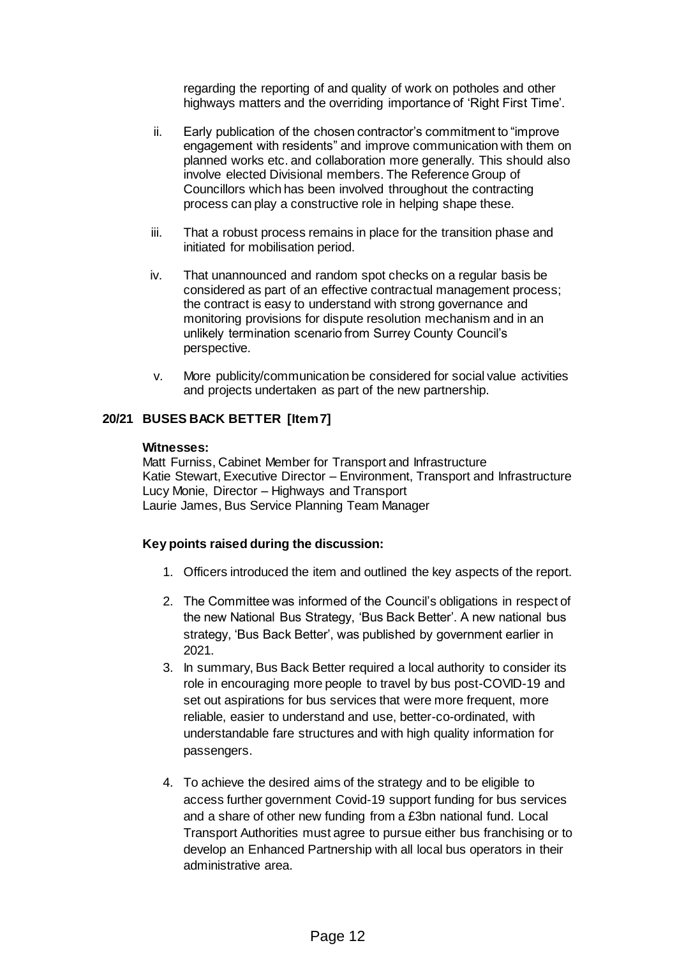regarding the reporting of and quality of work on potholes and other highways matters and the overriding importance of 'Right First Time'.

- ii. Early publication of the chosen contractor's commitment to "improve engagement with residents" and improve communication with them on planned works etc. and collaboration more generally. This should also involve elected Divisional members. The Reference Group of Councillors which has been involved throughout the contracting process can play a constructive role in helping shape these.
- iii. That a robust process remains in place for the transition phase and initiated for mobilisation period.
- iv. That unannounced and random spot checks on a regular basis be considered as part of an effective contractual management process; the contract is easy to understand with strong governance and monitoring provisions for dispute resolution mechanism and in an unlikely termination scenario from Surrey County Council's perspective.
- v. More publicity/communication be considered for social value activities and projects undertaken as part of the new partnership.

## **20/21 BUSES BACK BETTER [Item 7]**

#### **Witnesses:**

Matt Furniss, Cabinet Member for Transport and Infrastructure Katie Stewart, Executive Director – Environment, Transport and Infrastructure Lucy Monie, Director – Highways and Transport Laurie James, Bus Service Planning Team Manager

## **Key points raised during the discussion:**

- 1. Officers introduced the item and outlined the key aspects of the report.
- 2. The Committee was informed of the Council's obligations in respect of the new National Bus Strategy, 'Bus Back Better'. A new national bus strategy, 'Bus Back Better', was published by government earlier in 2021.
- 3. In summary, Bus Back Better required a local authority to consider its role in encouraging more people to travel by bus post-COVID-19 and set out aspirations for bus services that were more frequent, more reliable, easier to understand and use, better-co-ordinated, with understandable fare structures and with high quality information for passengers.
- 4. To achieve the desired aims of the strategy and to be eligible to access further government Covid-19 support funding for bus services and a share of other new funding from a £3bn national fund. Local Transport Authorities must agree to pursue either bus franchising or to develop an Enhanced Partnership with all local bus operators in their administrative area.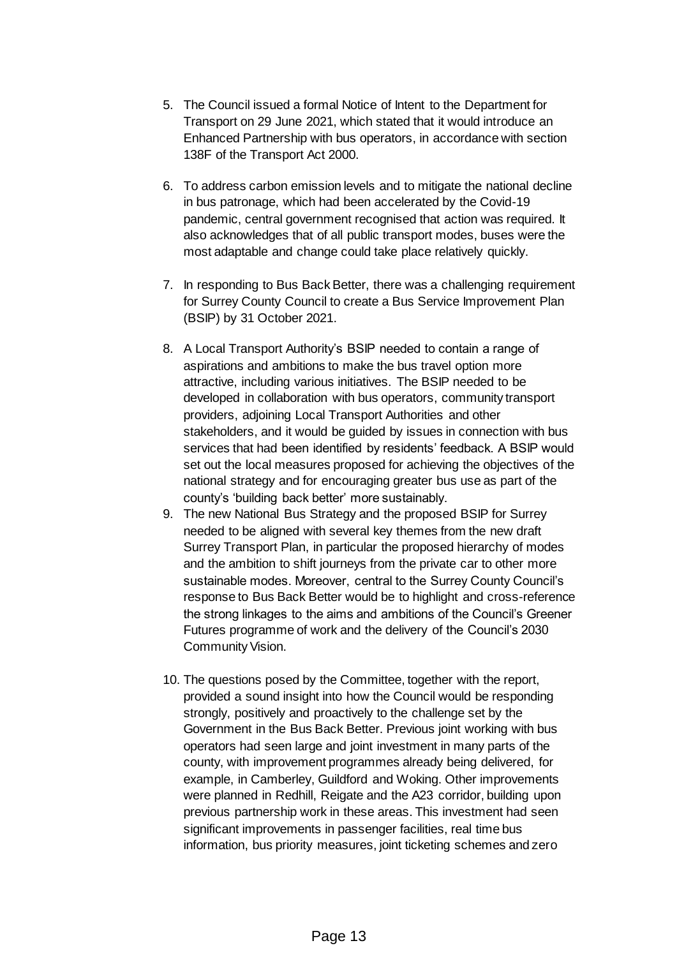- 5. The Council issued a formal Notice of Intent to the Department for Transport on 29 June 2021, which stated that it would introduce an Enhanced Partnership with bus operators, in accordance with section 138F of the Transport Act 2000.
- 6. To address carbon emission levels and to mitigate the national decline in bus patronage, which had been accelerated by the Covid-19 pandemic, central government recognised that action was required. It also acknowledges that of all public transport modes, buses were the most adaptable and change could take place relatively quickly.
- 7. In responding to Bus Back Better, there was a challenging requirement for Surrey County Council to create a Bus Service Improvement Plan (BSIP) by 31 October 2021.
- 8. A Local Transport Authority's BSIP needed to contain a range of aspirations and ambitions to make the bus travel option more attractive, including various initiatives. The BSIP needed to be developed in collaboration with bus operators, community transport providers, adjoining Local Transport Authorities and other stakeholders, and it would be guided by issues in connection with bus services that had been identified by residents' feedback. A BSIP would set out the local measures proposed for achieving the objectives of the national strategy and for encouraging greater bus use as part of the county's 'building back better' more sustainably.
- 9. The new National Bus Strategy and the proposed BSIP for Surrey needed to be aligned with several key themes from the new draft Surrey Transport Plan, in particular the proposed hierarchy of modes and the ambition to shift journeys from the private car to other more sustainable modes. Moreover, central to the Surrey County Council's response to Bus Back Better would be to highlight and cross-reference the strong linkages to the aims and ambitions of the Council's Greener Futures programme of work and the delivery of the Council's 2030 Community Vision.
- 10. The questions posed by the Committee, together with the report, provided a sound insight into how the Council would be responding strongly, positively and proactively to the challenge set by the Government in the Bus Back Better. Previous joint working with bus operators had seen large and joint investment in many parts of the county, with improvement programmes already being delivered, for example, in Camberley, Guildford and Woking. Other improvements were planned in Redhill, Reigate and the A23 corridor, building upon previous partnership work in these areas. This investment had seen significant improvements in passenger facilities, real time bus information, bus priority measures, joint ticketing schemes and zero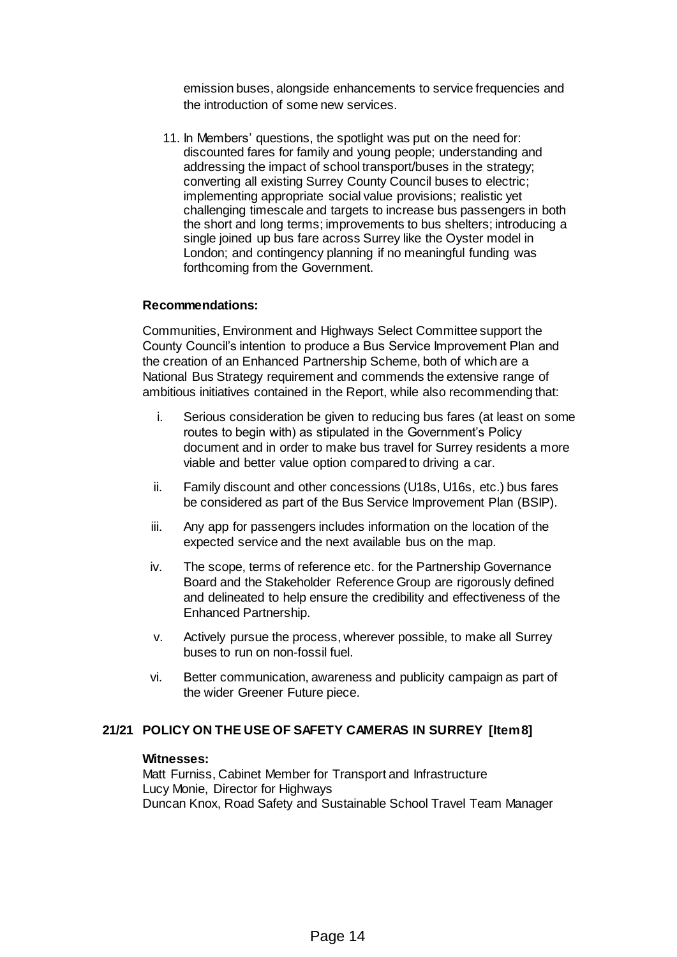emission buses, alongside enhancements to service frequencies and the introduction of some new services.

11. In Members' questions, the spotlight was put on the need for: discounted fares for family and young people; understanding and addressing the impact of school transport/buses in the strategy; converting all existing Surrey County Council buses to electric; implementing appropriate social value provisions; realistic yet challenging timescale and targets to increase bus passengers in both the short and long terms; improvements to bus shelters; introducing a single joined up bus fare across Surrey like the Oyster model in London; and contingency planning if no meaningful funding was forthcoming from the Government.

#### **Recommendations:**

Communities, Environment and Highways Select Committee support the County Council's intention to produce a Bus Service Improvement Plan and the creation of an Enhanced Partnership Scheme, both of which are a National Bus Strategy requirement and commends the extensive range of ambitious initiatives contained in the Report, while also recommending that:

- i. Serious consideration be given to reducing bus fares (at least on some routes to begin with) as stipulated in the Government's Policy document and in order to make bus travel for Surrey residents a more viable and better value option compared to driving a car.
- ii. Family discount and other concessions (U18s, U16s, etc.) bus fares be considered as part of the Bus Service Improvement Plan (BSIP).
- iii. Any app for passengers includes information on the location of the expected service and the next available bus on the map.
- iv. The scope, terms of reference etc. for the Partnership Governance Board and the Stakeholder Reference Group are rigorously defined and delineated to help ensure the credibility and effectiveness of the Enhanced Partnership.
- v. Actively pursue the process, wherever possible, to make all Surrey buses to run on non-fossil fuel.
- vi. Better communication, awareness and publicity campaign as part of the wider Greener Future piece.

## **21/21 POLICY ON THE USE OF SAFETY CAMERAS IN SURREY [Item 8]**

#### **Witnesses:**

Matt Furniss, Cabinet Member for Transport and Infrastructure Lucy Monie, Director for Highways Duncan Knox, Road Safety and Sustainable School Travel Team Manager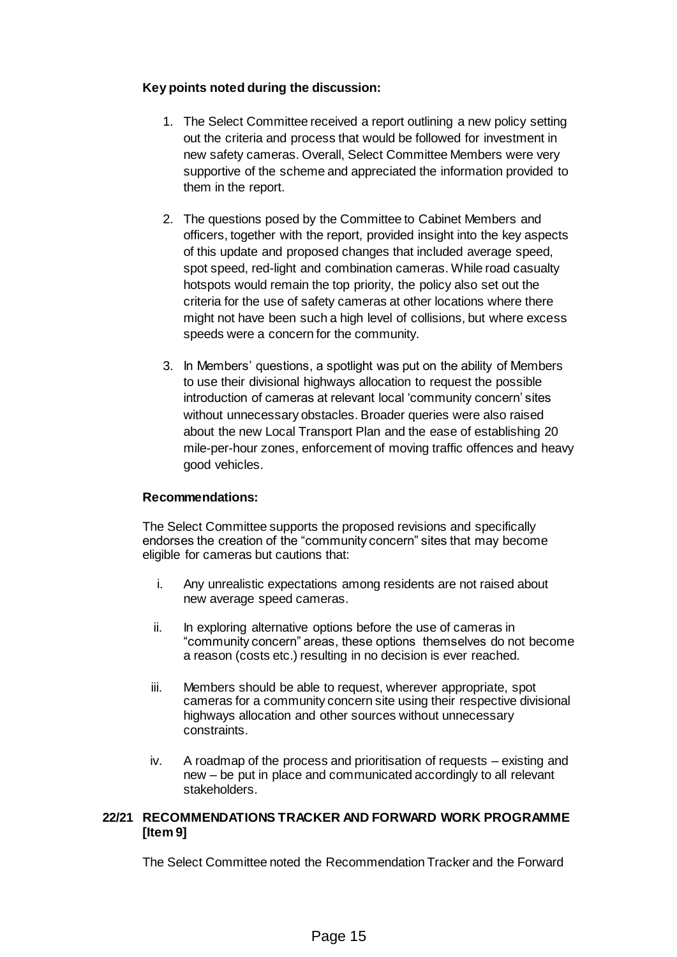## **Key points noted during the discussion:**

- 1. The Select Committee received a report outlining a new policy setting out the criteria and process that would be followed for investment in new safety cameras. Overall, Select Committee Members were very supportive of the scheme and appreciated the information provided to them in the report.
- 2. The questions posed by the Committee to Cabinet Members and officers, together with the report, provided insight into the key aspects of this update and proposed changes that included average speed, spot speed, red-light and combination cameras. While road casualty hotspots would remain the top priority, the policy also set out the criteria for the use of safety cameras at other locations where there might not have been such a high level of collisions, but where excess speeds were a concern for the community.
- 3. In Members' questions, a spotlight was put on the ability of Members to use their divisional highways allocation to request the possible introduction of cameras at relevant local 'community concern' sites without unnecessary obstacles. Broader queries were also raised about the new Local Transport Plan and the ease of establishing 20 mile-per-hour zones, enforcement of moving traffic offences and heavy good vehicles.

## **Recommendations:**

The Select Committee supports the proposed revisions and specifically endorses the creation of the "community concern" sites that may become eligible for cameras but cautions that:

- i. Any unrealistic expectations among residents are not raised about new average speed cameras.
- ii. In exploring alternative options before the use of cameras in "community concern" areas, these options themselves do not become a reason (costs etc.) resulting in no decision is ever reached.
- iii. Members should be able to request, wherever appropriate, spot cameras for a community concern site using their respective divisional highways allocation and other sources without unnecessary constraints.
- iv. A roadmap of the process and prioritisation of requests existing and new – be put in place and communicated accordingly to all relevant stakeholders.

## **22/21 RECOMMENDATIONS TRACKER AND FORWARD WORK PROGRAMME [Item 9]**

The Select Committee noted the Recommendation Tracker and the Forward